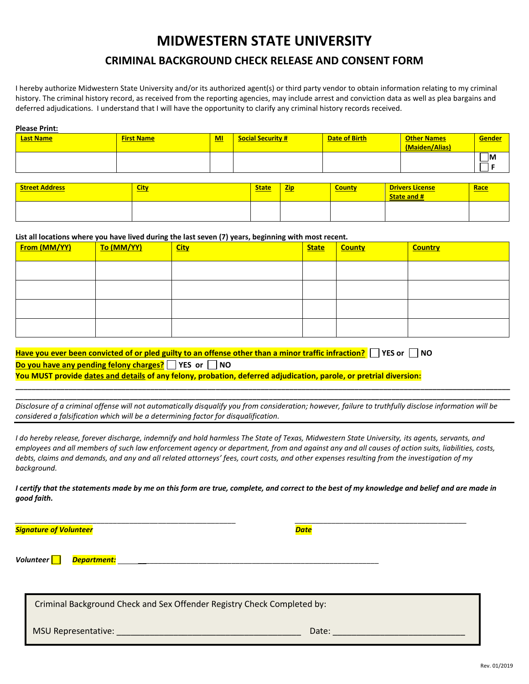## **MIDWESTERN STATE UNIVERSITY**

## **CRIMINAL BACKGROUND CHECK RELEASE AND CONSENT FORM**

I hereby authorize Midwestern State University and/or its authorized agent(s) or third party vendor to obtain information relating to my criminal history. The criminal history record, as received from the reporting agencies, may include arrest and conviction data as well as plea bargains and deferred adjudications. I understand that I will have the opportunity to clarify any criminal history records received.

| <b>Please Print:</b> |                   |     |                          |                      |                    |               |
|----------------------|-------------------|-----|--------------------------|----------------------|--------------------|---------------|
| <b>Last Name</b>     | <b>First Name</b> | $M$ | <b>Social Security #</b> | <b>Date of Birth</b> | <b>Other Names</b> | <b>Gender</b> |
|                      |                   |     |                          |                      | (Maiden/Alias)     |               |
|                      |                   |     |                          |                      |                    | <b>IM</b>     |
|                      |                   |     |                          |                      |                    |               |

| <b>Street Address</b> | <b>City</b> | <b>State</b> | <b>Zip</b><br><b>Service Service</b> | <b>County</b> | <b>Drivers License</b><br><b>State and #</b> | <b>Race</b> |
|-----------------------|-------------|--------------|--------------------------------------|---------------|----------------------------------------------|-------------|
|                       |             |              |                                      |               |                                              |             |

**List all locations where you have lived during the last seven (7) years, beginning with most recent.** 

| <b><u>From (MM/YY)</u></b> | <mark>To (MM/YY)</mark> | <b>City</b> | <b>State</b> | <b>County</b> | <b>Country</b> |
|----------------------------|-------------------------|-------------|--------------|---------------|----------------|
|                            |                         |             |              |               |                |
|                            |                         |             |              |               |                |
|                            |                         |             |              |               |                |
|                            |                         |             |              |               |                |

| Have you ever been convicted of or pled guilty to an offense other than a minor traffic infraction? The State Thood |
|---------------------------------------------------------------------------------------------------------------------|
| Do you have any pending felony charges? $\Box$ YES or $\Box$ NO                                                     |
| You MUST provide dates and details of any felony, probation, deferred adjudication, parole, or pretrial diversion:  |

*Disclosure of a criminal offense will not automatically disqualify you from consideration; however, failure to truthfully disclose information will be considered a falsification which will be a determining factor for disqualification.*

**\_\_\_\_\_\_\_\_\_\_\_\_\_\_\_\_\_\_\_\_\_\_\_\_\_\_\_\_\_\_\_\_\_\_\_\_\_\_\_\_\_\_\_\_\_\_\_\_\_\_\_\_\_\_\_\_\_\_\_\_\_\_\_\_\_\_\_\_\_\_\_\_\_\_\_\_\_\_\_\_\_\_\_\_\_\_\_\_\_\_\_\_\_\_\_\_\_\_\_\_\_\_\_\_\_\_\_\_\_\_\_\_\_\_\_\_\_\_\_\_\_ \_\_\_\_\_\_\_\_\_\_\_\_\_\_\_\_\_\_\_\_\_\_\_\_\_\_\_\_\_\_\_\_\_\_\_\_\_\_\_\_\_\_\_\_\_\_\_\_\_\_\_\_\_\_\_\_\_\_\_\_\_\_\_\_\_\_\_\_\_\_\_\_\_\_\_\_\_\_\_\_\_\_\_\_\_\_\_\_\_\_\_\_\_\_\_\_\_\_\_\_\_\_\_\_\_\_\_\_\_\_\_\_\_\_\_\_\_\_\_\_\_**

*I do hereby release, forever discharge, indemnify and hold harmless The State of Texas, Midwestern State University, its agents, servants, and employees and all members of such law enforcement agency or department, from and against any and all causes of action suits, liabilities, costs, debts, claims and demands, and any and all related attorneys' fees, court costs, and other expenses resulting from the investigation of my background.*

*I certify that the statements made by me on this form are true, complete, and correct to the best of my knowledge and belief and are made in good faith.* 

*\_\_\_\_\_\_\_\_\_\_\_\_\_\_\_\_\_\_\_\_\_\_\_\_\_\_\_\_\_\_\_\_\_\_\_\_\_\_\_\_\_\_\_\_\_\_\_\_\_\_\_\_\_\_ \_\_\_\_\_\_\_\_\_\_\_\_\_\_\_\_\_\_\_\_\_\_\_\_\_\_\_\_\_\_\_\_\_\_\_\_\_\_\_\_\_\_ Signature of Volunteer Date Volunteer Department:* \_\_*\_\_\_\_\_\_\_\_\_\_\_\_\_\_\_\_\_\_\_\_\_\_\_\_\_\_\_\_\_\_\_\_\_\_\_\_\_\_\_\_\_\_\_\_\_\_\_\_\_\_\_\_\_\_\_\_\_* Criminal Background Check and Sex Offender Registry Check Completed by: MSU Representative: \_\_\_\_\_\_\_\_\_\_\_\_\_\_\_\_\_\_\_\_\_\_\_\_\_\_\_\_\_\_\_\_\_\_\_\_\_\_\_ Date: \_\_\_\_\_\_\_\_\_\_\_\_\_\_\_\_\_\_\_\_\_\_\_\_\_\_\_\_